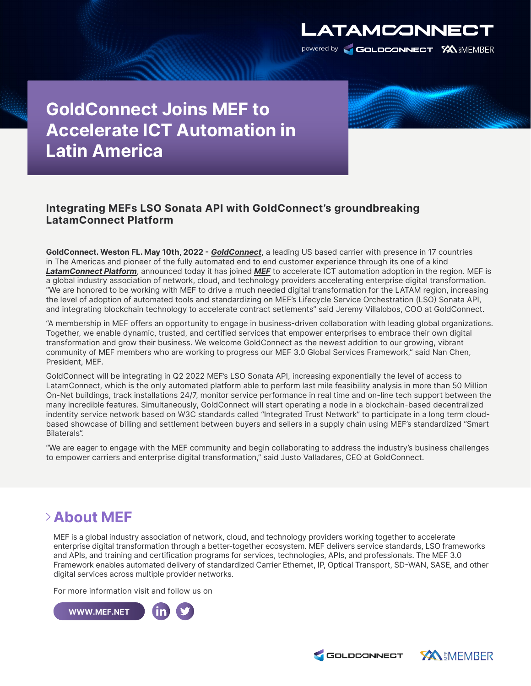

**GoldConnect Joins MEF to Accelerate ICT Automation in Latin America** 

## **Integrating MEFs LSO Sonata API with GoldConnect's groundbreaking LatamConnect Platform**

**GoldConnect. Weston FL. May 10th, 2022 -** [GoldConnect,](http://www.goldconnect.com/) a leading US based carrier with presence in 17 countries in The Americas and pioneer of the fully automated end to end customer experience through its one of a kind [LatamConnect Platform,](http://www.goldconnect.com/) announced today it has joined [MEF](https://hubs.li/Q018Ztpg0) to accelerate ICT automation adoption in the region. MEF is a global industry association of network, cloud, and technology providers accelerating enterprise digital transformation. "We are honored to be working with MEF to drive a much needed digital transformation for the LATAM region, increasing the level of adoption of automated tools and standardizing on MEF's Lifecycle Service Orchestration (LSO) Sonata API, and integrating blockchain technology to accelerate contract setlements" said Jeremy Villalobos, COO at GoldConnect.

"A membership in MEF offers an opportunity to engage in business-driven collaboration with leading global organizations. Together, we enable dynamic, trusted, and certified services that empower enterprises to embrace their own digital transformation and grow their business. We welcome GoldConnect as the newest addition to our growing, vibrant community of MEF members who are working to progress our MEF 3.0 Global Services Framework," said Nan Chen, President, MEF.

GoldConnect will be integrating in Q2 2022 MEF's LSO Sonata API, increasing exponentially the level of access to LatamConnect, which is the only automated platform able to perform last mile feasibility analysis in more than 50 Million On-Net buildings, track installations 24/7, monitor service performance in real time and on-line tech support between the many incredible features. Simultaneously, GoldConnect will start operating a node in a blockchain-based decentralized indentity service network based on W3C standards called "Integrated Trust Network" to participate in a long term cloudbased showcase of billing and settlement between buyers and sellers in a supply chain using MEF's standardized "Smart Bilaterals".

"We are eager to engage with the MEF community and begin collaborating to address the industry's business challenges to empower carriers and enterprise digital transformation," said Justo Valladares, CEO at GoldConnect.

## **About MEF**

MEF is a global industry association of network, cloud, and technology providers working together to accelerate enterprise digital transformation through a better-together ecosystem. MEF delivers service standards, LSO frameworks and APIs, and training and certification programs for services, technologies, APIs, and professionals. The MEF 3.0 Framework enables automated delivery of standardized Carrier Ethernet, IP, Optical Transport, SD-WAN, SASE, and other digital services across multiple provider networks.

For more information visit and follow us on